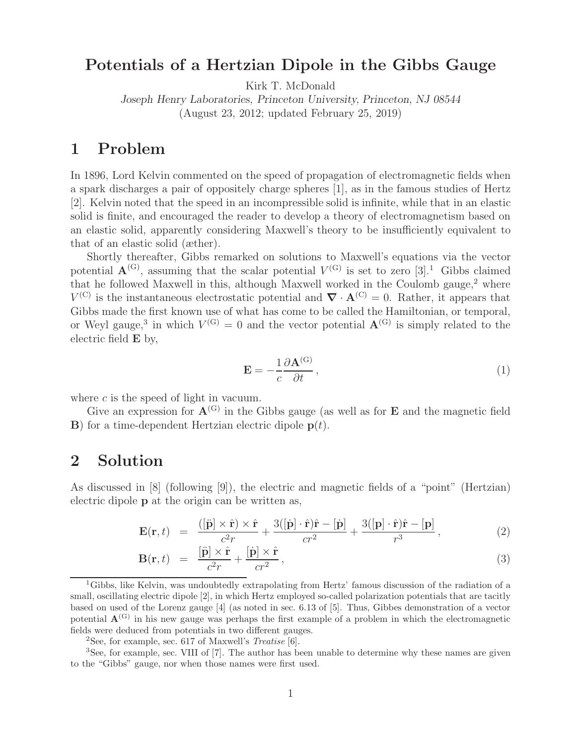# **Potentials of a Hertzian Dipole in the Gibbs Gauge**

Kirk T. McDonald

*Joseph Henry Laboratories, Princeton University, Princeton, NJ 08544* (August 23, 2012; updated February 25, 2019)

#### **1 Problem**

In 1896, Lord Kelvin commented on the speed of propagation of electromagnetic fields when a spark discharges a pair of oppositely charge spheres [1], as in the famous studies of Hertz [2]. Kelvin noted that the speed in an incompressible solid is infinite, while that in an elastic solid is finite, and encouraged the reader to develop a theory of electromagnetism based on an elastic solid, apparently considering Maxwell's theory to be insufficiently equivalent to that of an elastic solid (æther).

Shortly thereafter, Gibbs remarked on solutions to Maxwell's equations via the vector potential  $\mathbf{A}^{(G)}$ , assuming that the scalar potential  $V^{(G)}$  is set to zero [3].<sup>1</sup> Gibbs claimed that he followed Maxwell in this, although Maxwell worked in the Coulomb gauge, $2$  where  $V^{(C)}$  is the instantaneous electrostatic potential and  $\nabla \cdot \mathbf{A}^{(C)} = 0$ . Rather, it appears that Gibbs made the first known use of what has come to be called the Hamiltonian, or temporal, or Weyl gauge,<sup>3</sup> in which  $V^{(G)} = 0$  and the vector potential  $\mathbf{A}^{(G)}$  is simply related to the electric field **E** by,

$$
\mathbf{E} = -\frac{1}{c} \frac{\partial \mathbf{A}^{(G)}}{\partial t},\tag{1}
$$

where  $c$  is the speed of light in vacuum.

Give an expression for  $A^{(G)}$  in the Gibbs gauge (as well as for **E** and the magnetic field **B**) for a time-dependent Hertzian electric dipole  $p(t)$ .

#### **2 Solution**

As discussed in [8] (following [9]), the electric and magnetic fields of a "point" (Hertzian) electric dipole **p** at the origin can be written as,

$$
\mathbf{E}(\mathbf{r},t) = \frac{([\ddot{\mathbf{p}}] \times \hat{\mathbf{r}}) \times \hat{\mathbf{r}}}{c^2 r} + \frac{3([\dot{\mathbf{p}}] \cdot \hat{\mathbf{r}})\hat{\mathbf{r}} - [\dot{\mathbf{p}}]}{cr^2} + \frac{3([\mathbf{p}] \cdot \hat{\mathbf{r}})\hat{\mathbf{r}} - [\mathbf{p}]}{r^3},
$$
(2)

$$
\mathbf{B}(\mathbf{r},t) = \frac{[\ddot{\mathbf{p}}] \times \hat{\mathbf{r}}}{c^2 r} + \frac{[\dot{\mathbf{p}}] \times \hat{\mathbf{r}}}{cr^2},\tag{3}
$$

<sup>1</sup>Gibbs, like Kelvin, was undoubtedly extrapolating from Hertz' famous discussion of the radiation of a small, oscillating electric dipole [2], in which Hertz employed so-called polarization potentials that are tacitly based on used of the Lorenz gauge [4] (as noted in sec. 6.13 of [5]. Thus, Gibbes demonstration of a vector potential  $\mathbf{A}^{(G)}$  in his new gauge was perhaps the first example of a problem in which the electromagnetic fields were deduced from potentials in two different gauges.

<sup>2</sup>See, for example, sec. 617 of Maxwell's *Treatise* [6].

<sup>&</sup>lt;sup>3</sup>See, for example, sec. VIII of [7]. The author has been unable to determine why these names are given to the "Gibbs" gauge, nor when those names were first used.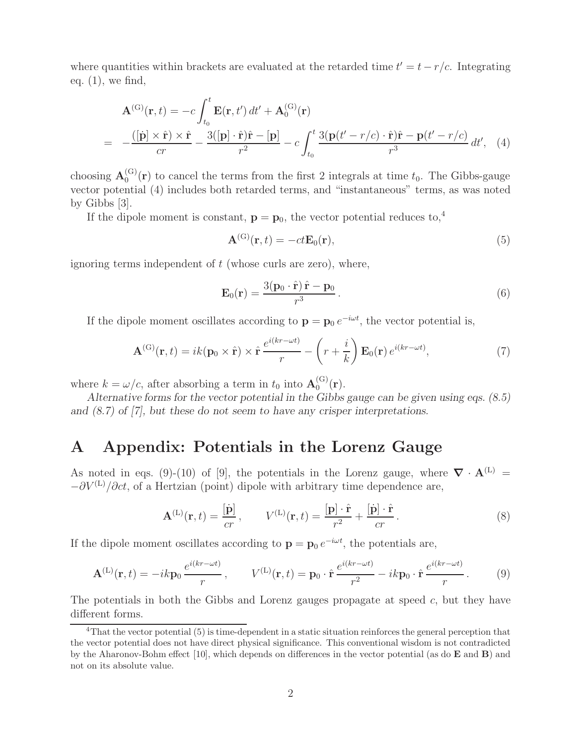where quantities within brackets are evaluated at the retarded time  $t' = t - r/c$ . Integrating eq.  $(1)$ , we find,

$$
\mathbf{A}^{(\mathrm{G})}(\mathbf{r},t) = -c \int_{t_0}^t \mathbf{E}(\mathbf{r},t') dt' + \mathbf{A}_0^{(\mathrm{G})}(\mathbf{r})
$$
  
= 
$$
-\frac{([\dot{\mathbf{p}}] \times \hat{\mathbf{r}}) \times \hat{\mathbf{r}}}{cr} - \frac{3([\mathbf{p}] \cdot \hat{\mathbf{r}})\hat{\mathbf{r}} - [\mathbf{p}]}{r^2} - c \int_{t_0}^t \frac{3(\mathbf{p}(t'-r/c) \cdot \hat{\mathbf{r}})\hat{\mathbf{r}} - \mathbf{p}(t'-r/c)}{r^3} dt', \quad (4)
$$

choosing  $\mathbf{A}_0^{(G)}(\mathbf{r})$  to cancel the terms from the first 2 integrals at time  $t_0$ . The Gibbs-gauge vector potential (4) includes both retarded terms, and "instantaneous" terms, as was noted by Gibbs [3].

If the dipole moment is constant,  $\mathbf{p} = \mathbf{p}_0$ , the vector potential reduces to,<sup>4</sup>

$$
\mathbf{A}^{(\mathrm{G})}(\mathbf{r},t) = -ct\mathbf{E}_0(\mathbf{r}),\tag{5}
$$

ignoring terms independent of  $t$  (whose curls are zero), where,

$$
\mathbf{E}_0(\mathbf{r}) = \frac{3(\mathbf{p}_0 \cdot \hat{\mathbf{r}}) \hat{\mathbf{r}} - \mathbf{p}_0}{r^3}.
$$
 (6)

If the dipole moment oscillates according to  $\mathbf{p} = \mathbf{p}_0 e^{-i\omega t}$ , the vector potential is,

$$
\mathbf{A}^{(\mathrm{G})}(\mathbf{r},t) = ik(\mathbf{p}_0 \times \hat{\mathbf{r}}) \times \hat{\mathbf{r}} \frac{e^{i(kr-\omega t)}}{r} - \left(r + \frac{i}{k}\right) \mathbf{E}_0(\mathbf{r}) e^{i(kr-\omega t)},\tag{7}
$$

where  $k = \omega/c$ , after absorbing a term in  $t_0$  into  $\mathbf{A}_0^{(\text{G})}(\mathbf{r})$ .

*Alternative forms for the vector potential in the Gibbs gauge can be given using eqs. (8.5) and (8.7) of [7], but these do not seem to have any crisper interpretations.*

#### **A Appendix: Potentials in the Lorenz Gauge**

As noted in eqs. (9)-(10) of [9], the potentials in the Lorenz gauge, where  $\nabla \cdot \mathbf{A}^{(L)}$  =  $-\partial V^{(L)}/\partial ct$ , of a Hertzian (point) dipole with arbitrary time dependence are,

$$
\mathbf{A}^{(\mathrm{L})}(\mathbf{r},t) = \frac{[\dot{\mathbf{p}}]}{cr}, \qquad V^{(\mathrm{L})}(\mathbf{r},t) = \frac{[\mathbf{p}] \cdot \hat{\mathbf{r}}}{r^2} + \frac{[\dot{\mathbf{p}}] \cdot \hat{\mathbf{r}}}{cr}.
$$
 (8)

If the dipole moment oscillates according to  $\mathbf{p} = \mathbf{p}_0 e^{-i\omega t}$ , the potentials are,

$$
\mathbf{A}^{(\mathrm{L})}(\mathbf{r},t) = -ik\mathbf{p}_0 \frac{e^{i(kr-\omega t)}}{r}, \qquad V^{(\mathrm{L})}(\mathbf{r},t) = \mathbf{p}_0 \cdot \hat{\mathbf{r}} \frac{e^{i(kr-\omega t)}}{r^2} - ik\mathbf{p}_0 \cdot \hat{\mathbf{r}} \frac{e^{i(kr-\omega t)}}{r}.
$$
 (9)

The potentials in both the Gibbs and Lorenz gauges propagate at speed c, but they have different forms.

<sup>&</sup>lt;sup>4</sup>That the vector potential (5) is time-dependent in a static situation reinforces the general perception that the vector potential does not have direct physical significance. This conventional wisdom is not contradicted by the Aharonov-Bohm effect [10], which depends on differences in the vector potential (as do **E** and **B**) and not on its absolute value.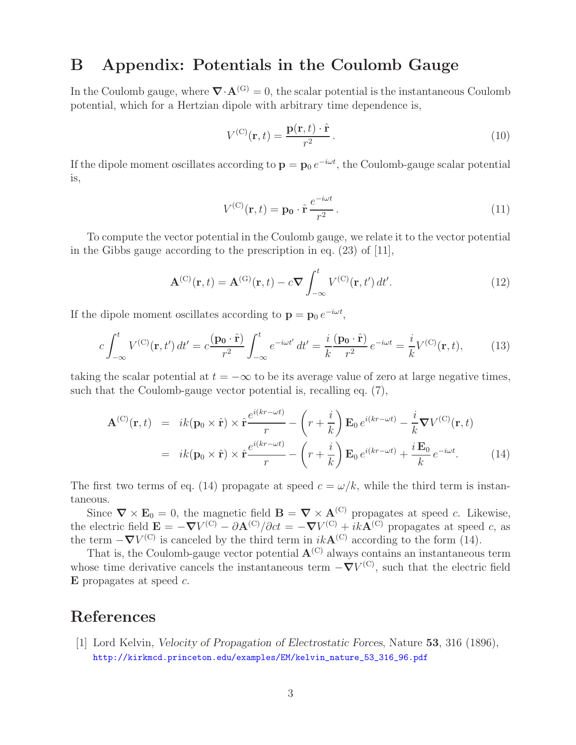## **B Appendix: Potentials in the Coulomb Gauge**

In the Coulomb gauge, where  $\nabla \cdot \mathbf{A}^{(G)} = 0$ , the scalar potential is the instantaneous Coulomb potential, which for a Hertzian dipole with arbitrary time dependence is,

$$
V^{(C)}(\mathbf{r},t) = \frac{\mathbf{p}(\mathbf{r},t) \cdot \hat{\mathbf{r}}}{r^2}.
$$
 (10)

If the dipole moment oscillates according to  $\mathbf{p} = \mathbf{p}_0 e^{-i\omega t}$ , the Coulomb-gauge scalar potential is,

$$
V^{(C)}(\mathbf{r},t) = \mathbf{p_0} \cdot \hat{\mathbf{r}} \frac{e^{-i\omega t}}{r^2}.
$$
 (11)

To compute the vector potential in the Coulomb gauge, we relate it to the vector potential in the Gibbs gauge according to the prescription in eq. (23) of [11],

$$
\mathbf{A}^{(\mathcal{C})}(\mathbf{r},t) = \mathbf{A}^{(\mathcal{G})}(\mathbf{r},t) - c\boldsymbol{\nabla} \int_{-\infty}^{t} V^{(\mathcal{C})}(\mathbf{r},t') dt'. \tag{12}
$$

If the dipole moment oscillates according to  $\mathbf{p} = \mathbf{p}_0 e^{-i\omega t}$ ,

$$
c\int_{-\infty}^{t} V^{(\mathcal{C})}(\mathbf{r}, t') dt' = c\frac{(\mathbf{p_0} \cdot \hat{\mathbf{r}})}{r^2} \int_{-\infty}^{t} e^{-i\omega t'} dt' = \frac{i}{k} \frac{(\mathbf{p_0} \cdot \hat{\mathbf{r}})}{r^2} e^{-i\omega t} = \frac{i}{k} V^{(\mathcal{C})}(\mathbf{r}, t), \quad (13)
$$

taking the scalar potential at  $t = -\infty$  to be its average value of zero at large negative times, such that the Coulomb-gauge vector potential is, recalling eq. (7),

$$
\mathbf{A}^{(C)}(\mathbf{r},t) = ik(\mathbf{p}_0 \times \hat{\mathbf{r}}) \times \hat{\mathbf{r}} \frac{e^{i(kr-\omega t)}}{r} - \left(r + \frac{i}{k}\right) \mathbf{E}_0 e^{i(kr-\omega t)} - \frac{i}{k} \nabla V^{(C)}(\mathbf{r},t)
$$
  
=  $ik(\mathbf{p}_0 \times \hat{\mathbf{r}}) \times \hat{\mathbf{r}} \frac{e^{i(kr-\omega t)}}{r} - \left(r + \frac{i}{k}\right) \mathbf{E}_0 e^{i(kr-\omega t)} + \frac{i \mathbf{E}_0}{k} e^{-i\omega t}.$  (14)

The first two terms of eq. (14) propagate at speed  $c = \omega/k$ , while the third term is instantaneous.

Since  $\nabla \times \mathbf{E}_0 = 0$ , the magnetic field  $\mathbf{B} = \nabla \times \mathbf{A}^{(C)}$  propagates at speed c. Likewise, the electric field  $\mathbf{E} = -\nabla V^{(C)} - \partial \mathbf{A}^{(C)}/\partial ct = -\nabla V^{(C)} + ik\mathbf{A}^{(C)}$  propagates at speed c, as the term  $-\nabla V^{(C)}$  is canceled by the third term in  $ikA^{(C)}$  according to the form (14).

That is, the Coulomb-gauge vector potential  $A^{(C)}$  always contains an instantaneous term whose time derivative cancels the instantaneous term  $-\nabla V^{(C)}$ , such that the electric field **E** propagates at speed c.

### **References**

[1] Lord Kelvin, *Velocity of Propagation of Electrostatic Forces*, Nature **53**, 316 (1896), http://kirkmcd.princeton.edu/examples/EM/kelvin\_nature\_53\_316\_96.pdf